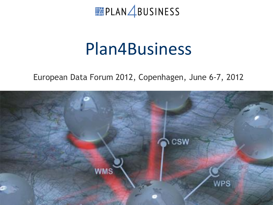FRIDERS PLAN ABUSINESS

# Plan4Business

#### European Data Forum 2012, Copenhagen, June 6-7, 2012

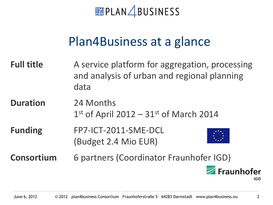**PLAN BUSINESS** 

# Plan4Business at a glance

- **Full title** A service platform for aggregation, processing and analysis of urban and regional planning data
- **Duration** 24 Months  $1<sup>st</sup>$  of April 2012 – 31 $<sup>st</sup>$  of March 2014</sup>
- **Funding** FP7-ICT-2011-SME-DCL (Budget 2.4 Mio EUR)



**Consortium** 6 partners (Coordinator Fraunhofer IGD)

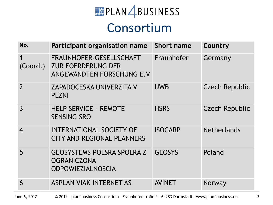# FRIDERS PLAN ABUSINESS

### Consortium

| No.              | Participant organisation name                                                            | <b>Short name</b> | Country               |
|------------------|------------------------------------------------------------------------------------------|-------------------|-----------------------|
| (Coord.)         | <b>FRAUNHOFER-GESELLSCHAFT</b><br><b>ZUR FOERDERUNG DER</b><br>ANGEWANDTEN FORSCHUNG E.V | Fraunhofer        | Germany               |
| $\overline{2}$   | <b>ZAPADOCESKA UNIVERZITA V</b><br><b>PLZNI</b>                                          | <b>UWB</b>        | <b>Czech Republic</b> |
| $\overline{3}$   | <b>HELP SERVICE - REMOTE</b><br><b>SENSING SRO</b>                                       | <b>HSRS</b>       | <b>Czech Republic</b> |
| $\boldsymbol{4}$ | <b>INTERNATIONAL SOCIETY OF</b><br><b>CITY AND REGIONAL PLANNERS</b>                     | <b>ISOCARP</b>    | <b>Netherlands</b>    |
| 5                | <b>GEOSYSTEMS POLSKA SPOLKA Z</b><br><b>OGRANICZONA</b><br><b>ODPOWIEZIALNOSCIA</b>      | <b>GEOSYS</b>     | Poland                |
| 6                | <b>ASPLAN VIAK INTERNET AS</b>                                                           | <b>AVINET</b>     | Norway                |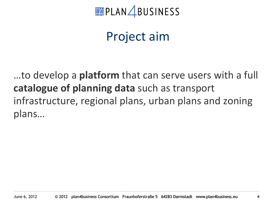

# Project aim

…to develop a **platform** that can serve users with a full **catalogue of planning data** such as transport infrastructure, regional plans, urban plans and zoning plans…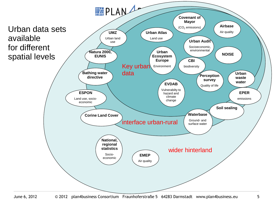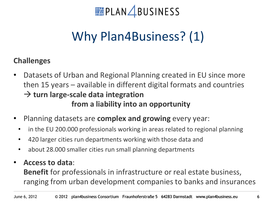

# Why Plan4Business? (1)

#### **Challenges**

- Datasets of Urban and Regional Planning created in EU since more then 15 years – available in different digital formats and countries  $\rightarrow$  **turn large-scale data integration from a liability into an opportunity**
- Planning datasets are **complex and growing** every year:
	- in the EU 200.000 professionals working in areas related to regional planning
	- 420 larger cities run departments working with those data and
	- about 28.000 smaller cities run small planning departments
- **Access to data**: **Benefit** for professionals in infrastructure or real estate business, ranging from urban development companies to banks and insurances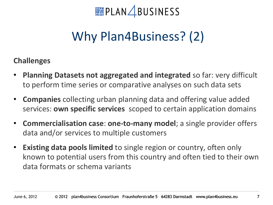

# Why Plan4Business? (2)

#### **Challenges**

- **Planning Datasets not aggregated and integrated** so far: very difficult to perform time series or comparative analyses on such data sets
- **Companies** collecting urban planning data and offering value added services: **own specific services** scoped to certain application domains
- **Commercialisation case**: **one-to-many model**; a single provider offers data and/or services to multiple customers
- **Existing data pools limited** to single region or country, often only known to potential users from this country and often tied to their own data formats or schema variants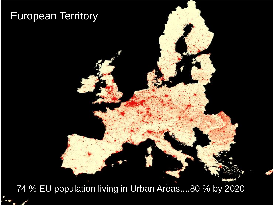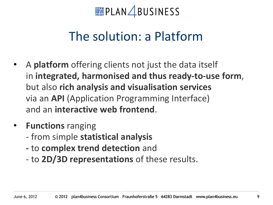

# The solution: a Platform

- A **platform** offering clients not just the data itself in **integrated, harmonised and thus ready-to-use form**, but also **rich analysis and visualisation services**  via an **API** (Application Programming Interface) and an **interactive web frontend**.
- **Functions** ranging
	- from simple **statistical analysis**
	- **-** to **complex trend detection** and
	- to **2D/3D representations** of these results.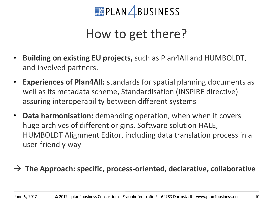

# How to get there?

- **Building on existing EU projects,** such as Plan4All and HUMBOLDT, and involved partners.
- **Experiences of Plan4All:** standards for spatial planning documents as well as its metadata scheme, Standardisation (INSPIRE directive) assuring interoperability between different systems
- **Data harmonisation:** demanding operation, when when it covers huge archives of different origins. Software solution HALE, HUMBOLDT Alignment Editor, including data translation process in a user-friendly way

#### **The Approach: specific, process-oriented, declarative, collaborative**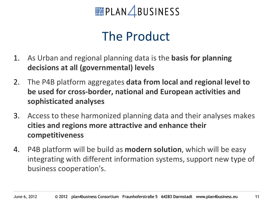**PLAN** BUSINESS

# The Product

- 1. As Urban and regional planning data is the **basis for planning decisions at all (governmental) levels**
- 2. The P4B platform aggregates **data from local and regional level to be used for cross-border, national and European activities and sophisticated analyses**
- 3. Access to these harmonized planning data and their analyses makes **cities and regions more attractive and enhance their competitiveness**
- 4. P4B platform will be build as **modern solution**, which will be easy integrating with different information systems, support new type of business cooperation's.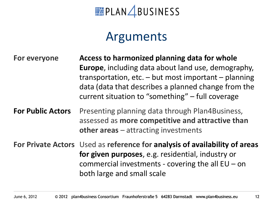**PLAN** BUSINESS

### Arguments

**For everyone Access to harmonized planning data for whole Europe**, including data about land use, demography, transportation, etc.  $-$  but most important  $-$  planning data (data that describes a planned change from the current situation to "something" – full coverage

**For Public Actors** Presenting planning data through Plan4Business, assessed as **more competitive and attractive than other areas** – attracting investments

**For Private Actors** Used as **reference for analysis of availability of areas for given purposes**, e.g. residential, industry or commercial investments - covering the all  $EU$  – on both large and small scale